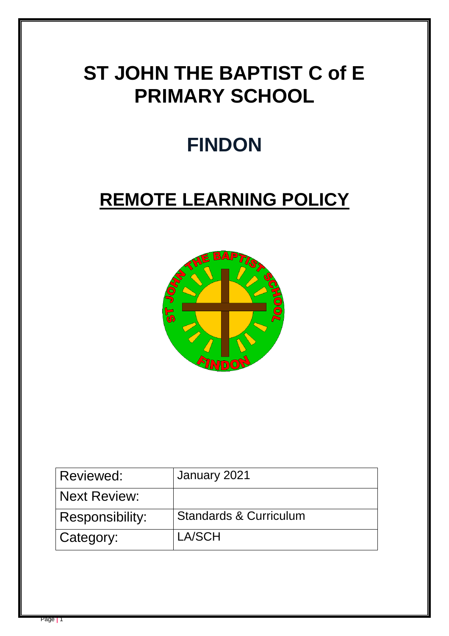# **ST JOHN THE BAPTIST C of E PRIMARY SCHOOL**

# **FINDON**

# **REMOTE LEARNING POLICY**



| Reviewed:              | January 2021                      |
|------------------------|-----------------------------------|
| <b>Next Review:</b>    |                                   |
| <b>Responsibility:</b> | <b>Standards &amp; Curriculum</b> |
| Category:              | LA/SCH                            |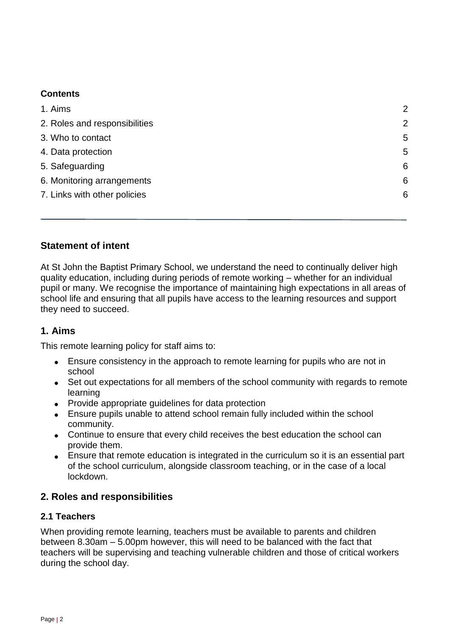## <span id="page-1-0"></span>**Contents**

| 1. Aims                       | $\overline{2}$ |
|-------------------------------|----------------|
| 2. Roles and responsibilities | $\overline{2}$ |
| 3. Who to contact             | 5              |
| 4. Data protection            | 5              |
| 5. Safeguarding               | 6              |
| 6. Monitoring arrangements    | 6              |
| 7. Links with other policies  | 6              |
|                               |                |

# **Statement of intent**

At St John the Baptist Primary School, we understand the need to continually deliver high quality education, including during periods of remote working – whether for an individual pupil or many. We recognise the importance of maintaining high expectations in all areas of school life and ensuring that all pupils have access to the learning resources and support they need to succeed.

# **1. Aims**

This remote learning policy for staff aims to:

- Ensure consistency in the approach to remote learning for pupils who are not in school
- Set out expectations for all members of the school community with regards to remote learning
- Provide appropriate guidelines for data protection
- Ensure pupils unable to attend school remain fully included within the school community.
- Continue to ensure that every child receives the best education the school can provide them.
- <span id="page-1-1"></span> Ensure that remote education is integrated in the curriculum so it is an essential part of the school curriculum, alongside classroom teaching, or in the case of a local lockdown.

# **2. Roles and responsibilities**

## **2.1 Teachers**

When providing remote learning, teachers must be available to parents and children between 8.30am – 5.00pm however, this will need to be balanced with the fact that teachers will be supervising and teaching vulnerable children and those of critical workers during the school day.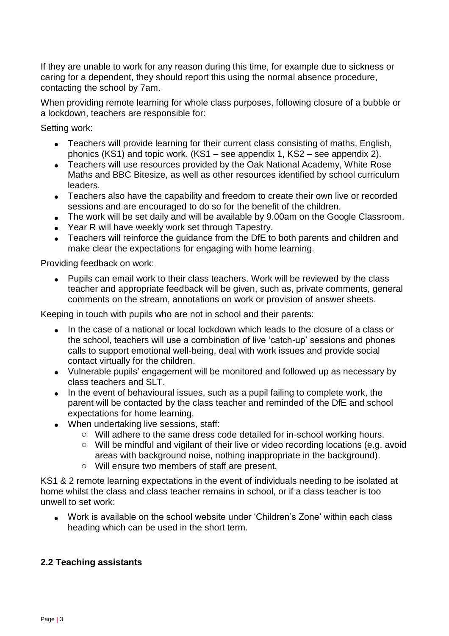If they are unable to work for any reason during this time, for example due to sickness or caring for a dependent, they should report this using the normal absence procedure, contacting the school by 7am.

When providing remote learning for whole class purposes, following closure of a bubble or a lockdown, teachers are responsible for:

Setting work:

- Teachers will provide learning for their current class consisting of maths, English, phonics (KS1) and topic work. (KS1 – see appendix 1, KS2 – see appendix 2).
- Teachers will use resources provided by the Oak National Academy, White Rose Maths and BBC Bitesize, as well as other resources identified by school curriculum leaders.
- Teachers also have the capability and freedom to create their own live or recorded sessions and are encouraged to do so for the benefit of the children.
- The work will be set daily and will be available by 9.00am on the Google Classroom.
- Year R will have weekly work set through Tapestry.
- Teachers will reinforce the guidance from the DfE to both parents and children and make clear the expectations for engaging with home learning.

Providing feedback on work:

• Pupils can email work to their class teachers. Work will be reviewed by the class teacher and appropriate feedback will be given, such as, private comments, general comments on the stream, annotations on work or provision of answer sheets.

Keeping in touch with pupils who are not in school and their parents:

- In the case of a national or local lockdown which leads to the closure of a class or the school, teachers will use a combination of live 'catch-up' sessions and phones calls to support emotional well-being, deal with work issues and provide social contact virtually for the children.
- Vulnerable pupils' engagement will be monitored and followed up as necessary by class teachers and SLT.
- In the event of behavioural issues, such as a pupil failing to complete work, the parent will be contacted by the class teacher and reminded of the DfE and school expectations for home learning.
- When undertaking live sessions, staff:
	- o Will adhere to the same dress code detailed for in-school working hours.
	- o Will be mindful and vigilant of their live or video recording locations (e.g. avoid areas with background noise, nothing inappropriate in the background).
	- o Will ensure two members of staff are present.

KS1 & 2 remote learning expectations in the event of individuals needing to be isolated at home whilst the class and class teacher remains in school, or if a class teacher is too unwell to set work:

 Work is available on the school website under 'Children's Zone' within each class heading which can be used in the short term.

## **2.2 Teaching assistants**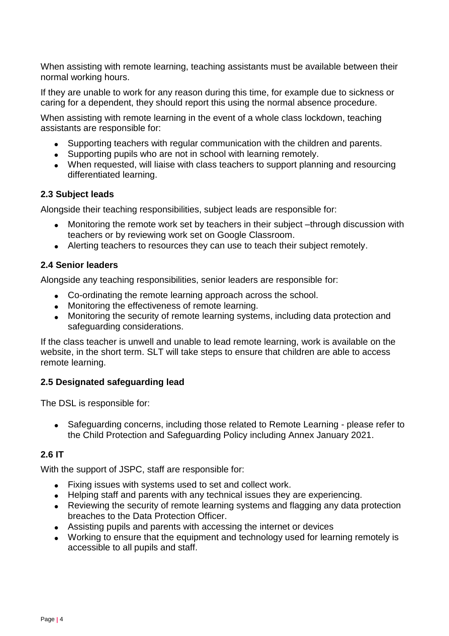When assisting with remote learning, teaching assistants must be available between their normal working hours.

If they are unable to work for any reason during this time, for example due to sickness or caring for a dependent, they should report this using the normal absence procedure.

When assisting with remote learning in the event of a whole class lockdown, teaching assistants are responsible for:

- Supporting teachers with regular communication with the children and parents.
- Supporting pupils who are not in school with learning remotely.
- When requested, will liaise with class teachers to support planning and resourcing differentiated learning.

#### **2.3 Subject leads**

Alongside their teaching responsibilities, subject leads are responsible for:

- Monitoring the remote work set by teachers in their subject –through discussion with teachers or by reviewing work set on Google Classroom.
- Alerting teachers to resources they can use to teach their subject remotely.

#### **2.4 Senior leaders**

Alongside any teaching responsibilities, senior leaders are responsible for:

- Co-ordinating the remote learning approach across the school.
- Monitoring the effectiveness of remote learning.
- Monitoring the security of remote learning systems, including data protection and safeguarding considerations.

If the class teacher is unwell and unable to lead remote learning, work is available on the website, in the short term. SLT will take steps to ensure that children are able to access remote learning.

#### **2.5 Designated safeguarding lead**

The DSL is responsible for:

 Safeguarding concerns, including those related to Remote Learning - please refer to the Child Protection and Safeguarding Policy including Annex January 2021.

## **2.6 IT**

With the support of JSPC, staff are responsible for:

- Fixing issues with systems used to set and collect work.
- Helping staff and parents with any technical issues they are experiencing.
- Reviewing the security of remote learning systems and flagging any data protection breaches to the Data Protection Officer.
- Assisting pupils and parents with accessing the internet or devices
- Working to ensure that the equipment and technology used for learning remotely is accessible to all pupils and staff.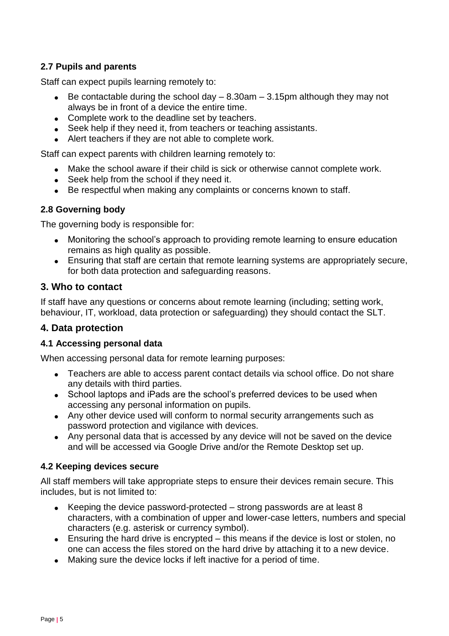## **2.7 Pupils and parents**

Staff can expect pupils learning remotely to:

- Be contactable during the school day  $-$  8.30am  $-$  3.15pm although they may not always be in front of a device the entire time.
- Complete work to the deadline set by teachers.
- Seek help if they need it, from teachers or teaching assistants.
- Alert teachers if they are not able to complete work.

Staff can expect parents with children learning remotely to:

- Make the school aware if their child is sick or otherwise cannot complete work.
- Seek help from the school if they need it.
- Be respectful when making any complaints or concerns known to staff.

## **2.8 Governing body**

The governing body is responsible for:

- Monitoring the school's approach to providing remote learning to ensure education remains as high quality as possible.
- <span id="page-4-0"></span> Ensuring that staff are certain that remote learning systems are appropriately secure, for both data protection and safeguarding reasons.

#### **3. Who to contact**

If staff have any questions or concerns about remote learning (including; setting work, behaviour, IT, workload, data protection or safeguarding) they should contact the SLT.

## **4. Data protection**

#### **4.1 Accessing personal data**

When accessing personal data for remote learning purposes:

- Teachers are able to access parent contact details via school office. Do not share any details with third parties.
- School laptops and iPads are the school's preferred devices to be used when accessing any personal information on pupils.
- Any other device used will conform to normal security arrangements such as password protection and vigilance with devices.
- Any personal data that is accessed by any device will not be saved on the device and will be accessed via Google Drive and/or the Remote Desktop set up.

#### **4.2 Keeping devices secure**

All staff members will take appropriate steps to ensure their devices remain secure. This includes, but is not limited to:

- Exercing the device password-protected  $-$  strong passwords are at least 8 characters, with a combination of upper and lower-case letters, numbers and special characters (e.g. asterisk or currency symbol).
- Ensuring the hard drive is encrypted this means if the device is lost or stolen, no one can access the files stored on the hard drive by attaching it to a new device.
- Making sure the device locks if left inactive for a period of time.